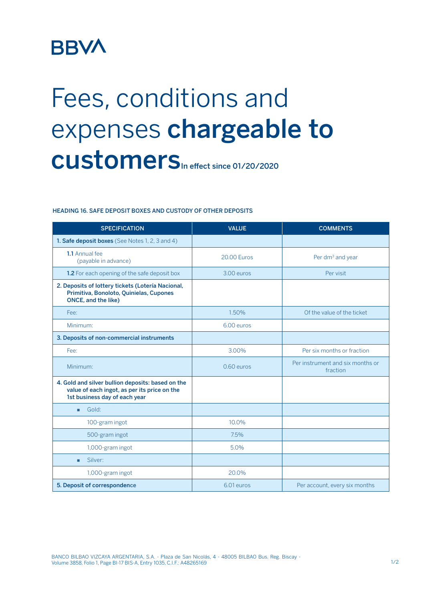## **BBVA**

## Fees, conditions and expenses chargeable to CUStomers<sub>In effect since 01/20/2020</sub>

## HEADING 16. SAFE DEPOSIT BOXES AND CUSTODY OF OTHER DEPOSITS

| <b>SPECIFICATION</b>                                                                                                               | <b>VALUE</b>       | <b>COMMENTS</b>                              |
|------------------------------------------------------------------------------------------------------------------------------------|--------------------|----------------------------------------------|
| <b>1. Safe deposit boxes</b> (See Notes 1, 2, 3 and 4)                                                                             |                    |                                              |
| 1.1 Annual fee<br>(payable in advance)                                                                                             | <b>20.00 Euros</b> | Per dm <sup>3</sup> and year                 |
| 1.2 For each opening of the safe deposit box                                                                                       | 3.00 euros         | Per visit                                    |
| 2. Deposits of lottery tickets (Lotería Nacional,<br>Primitiva, Bonoloto, Quinielas, Cupones<br><b>ONCE, and the like)</b>         |                    |                                              |
| Fee:                                                                                                                               | 1.50%              | Of the value of the ticket                   |
| Minimum:                                                                                                                           | 6.00 euros         |                                              |
| 3. Deposits of non-commercial instruments                                                                                          |                    |                                              |
| Fee:                                                                                                                               | 3.00%              | Per six months or fraction                   |
| Minimum:                                                                                                                           | 0.60 euros         | Per instrument and six months or<br>fraction |
| 4. Gold and silver bullion deposits: based on the<br>value of each ingot, as per its price on the<br>1st business day of each year |                    |                                              |
| Gold:                                                                                                                              |                    |                                              |
| 100-gram ingot                                                                                                                     | 10.0%              |                                              |
| 500-gram ingot                                                                                                                     | 7.5%               |                                              |
| 1,000-gram ingot                                                                                                                   | 5.0%               |                                              |
| Silver:<br>٠                                                                                                                       |                    |                                              |
| 1,000-gram ingot                                                                                                                   | 20.0%              |                                              |
| 5. Deposit of correspondence                                                                                                       | 6.01 euros         | Per account, every six months                |